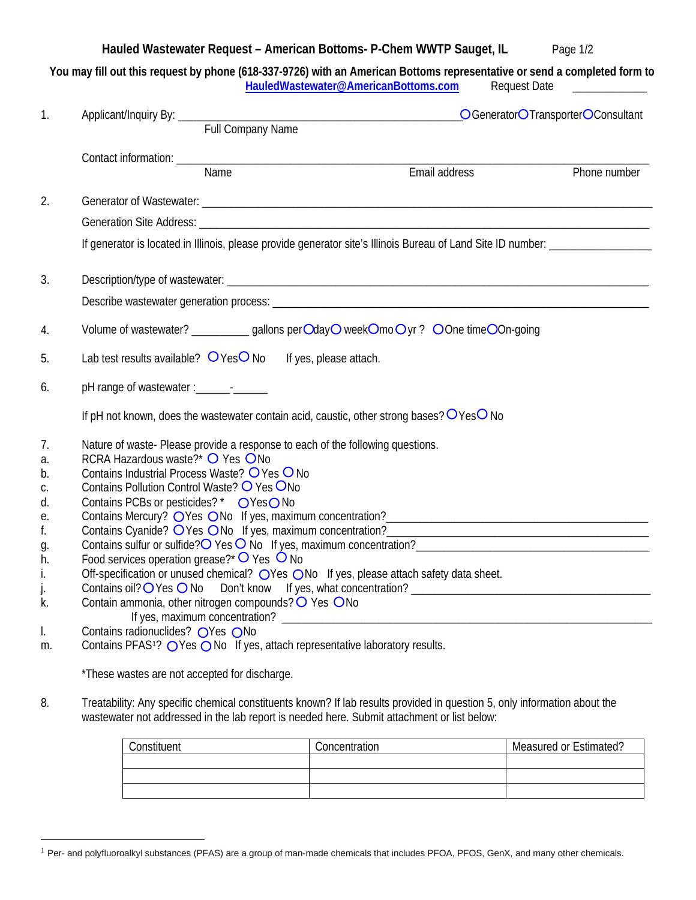## **Hauled Wastewater Request – American Bottoms- P-Chem WWTP Sauget, IL** Page 1/2

|                       | You may fill out this request by phone (618-337-9726) with an American Bottoms representative or send a completed form to<br>HauledWastewater@AmericanBottoms.com | Request Date                      |
|-----------------------|-------------------------------------------------------------------------------------------------------------------------------------------------------------------|-----------------------------------|
| Applicant/Inquiry By: | <b>Full Company Name</b>                                                                                                                                          | OGeneratorOTransporterOConsultant |
| Contact information:  |                                                                                                                                                                   |                                   |

Name **Email address** Phone number 2. Generator of Wastewater: **Example 2.** The set of the set of the set of the set of the set of the set of the set of the set of the set of the set of the set of the set of the set of the set of the set of the set of the s Generation Site Address:

If generator is located in Illinois, please provide generator site's Illinois Bureau of Land Site ID number: \_\_\_\_\_\_\_\_\_\_\_\_\_\_\_\_\_\_\_\_\_\_\_\_\_\_

- 3. Description/type of wastewater: \_\_\_\_\_\_\_\_\_\_\_\_\_\_\_\_\_\_\_\_\_\_\_\_\_\_\_\_\_\_\_\_\_\_\_\_\_\_\_\_\_\_\_\_\_\_\_\_\_\_\_\_\_\_\_\_\_\_\_\_\_\_\_\_\_\_\_\_\_\_\_\_\_\_ Describe wastewater generation process: \_\_\_\_\_\_\_\_\_\_\_\_\_\_\_\_\_\_\_\_\_\_\_\_\_\_\_\_\_\_\_\_\_\_\_\_\_\_\_\_\_\_\_\_\_\_\_\_\_\_\_\_\_\_\_\_\_\_\_\_\_\_\_\_\_\_
- 4. Volume of wastewater? \_\_\_\_\_\_\_\_\_\_\_ gallons perOdayO weekOmoOyr? OOne timeOOn-going
- 5. Lab test results available?  $O$  Yes No If yes, please attach.
- 6. pH range of wastewater :\_\_\_\_\_\_-\_\_\_\_\_\_

| If pH not known, does the wastewater contain acid, caustic, other strong bases? $O$ Yes O No |  |  |  |  |  |  |  |  |  |  |  |
|----------------------------------------------------------------------------------------------|--|--|--|--|--|--|--|--|--|--|--|
|----------------------------------------------------------------------------------------------|--|--|--|--|--|--|--|--|--|--|--|

- 7. Nature of waste- Please provide a response to each of the following questions.
- a. RCRA Hazardous waste?\*  $\bigcirc$  Yes  $\bigcirc$  No
- b. Contains Industrial Process Waste?  $\bigcirc$  Yes  $\bigcirc$  No
- c. Contains Pollution Control Waste?  $\bigcirc$  Yes  $\bigcirc$  No
- d. Contains PCBs or pesticides?  $*$   $\bigcirc$  Yes  $\bigcirc$  No
- e. Contains Mercury? OYes ONo If yes, maximum concentration?<br>
- f. Contains Cyanide?  $\bigcirc$  Yes  $\bigcirc$  No If yes, maximum concentration?
- q. Contains sulfur or sulfide? $\overline{O}$  Yes  $\overline{O}$  No If yes, maximum concentration?
- h. Food services operation grease?\*  $\overline{O}$  Yes  $\overline{O}$  No
- i. Off-specification or unused chemical?  $\bigcirc$  Yes  $\bigcirc$  No If yes, please attach safety data sheet.
- j. Contains oil? Yes No Don't know If yes, what concentration? \_\_\_\_\_\_\_\_\_\_\_\_\_\_\_\_\_\_\_\_\_\_\_\_\_\_\_\_\_\_\_\_\_\_\_\_\_\_\_\_\_\_
- k. Contain ammonia, other nitrogen compounds?  $\overline{O}$  Yes  $\overline{O}$  No If yes, maximum concentration? \_\_\_\_\_\_\_\_\_\_\_\_\_\_\_\_\_\_\_\_\_\_\_\_\_\_\_\_\_\_\_\_\_\_\_\_\_\_\_\_\_\_\_\_\_\_\_\_\_\_\_\_\_\_\_\_\_\_\_\_\_\_\_\_\_
- l. Contains radionuclides?  $\bigcirc$ Yes  $\bigcirc$ No
- m. Contains PFAS<sup>[1](#page-0-0)</sup>? O Yes O No If yes, attach representative laboratory results.

\*These wastes are not accepted for discharge.

8. Treatability: Any specific chemical constituents known? If lab results provided in question 5, only information about the wastewater not addressed in the lab report is needed here. Submit attachment or list below:

| Constituent | Concentration | <b>Measured or Estimated?</b> |  |  |
|-------------|---------------|-------------------------------|--|--|
|             |               |                               |  |  |
|             |               |                               |  |  |
|             |               |                               |  |  |

<span id="page-0-0"></span><sup>&</sup>lt;sup>1</sup> Per- and polyfluoroalkyl substances (PFAS) are a group of man-made chemicals that includes PFOA, PFOS, GenX, and many other chemicals.